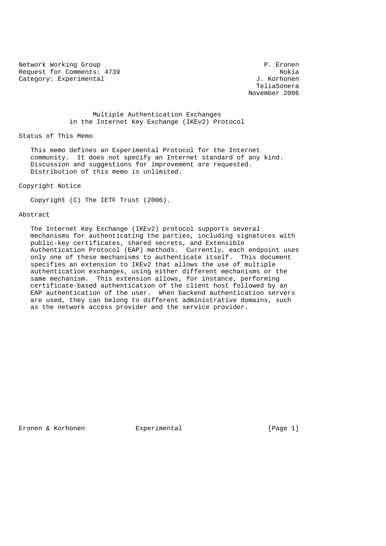Network Working Group **P. Expansion Communist Communist Communist Communist Communist Communist Communist Communist Communist Communist Communist P. Eronen** Request for Comments: 4739 Nokia Category: Experimental  $J.$  Korhonen

 TeliaSonera November 2006

### Multiple Authentication Exchanges in the Internet Key Exchange (IKEv2) Protocol

#### Status of This Memo

 This memo defines an Experimental Protocol for the Internet community. It does not specify an Internet standard of any kind. Discussion and suggestions for improvement are requested. Distribution of this memo is unlimited.

Copyright Notice

Copyright (C) The IETF Trust (2006).

#### Abstract

 The Internet Key Exchange (IKEv2) protocol supports several mechanisms for authenticating the parties, including signatures with public-key certificates, shared secrets, and Extensible Authentication Protocol (EAP) methods. Currently, each endpoint uses only one of these mechanisms to authenticate itself. This document specifies an extension to IKEv2 that allows the use of multiple authentication exchanges, using either different mechanisms or the same mechanism. This extension allows, for instance, performing certificate-based authentication of the client host followed by an EAP authentication of the user. When backend authentication servers are used, they can belong to different administrative domains, such as the network access provider and the service provider.

Eronen & Korhonen Experimental (Page 1)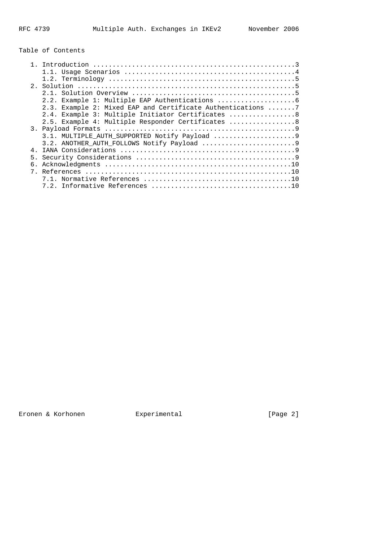# Table of Contents

|                | 2.3. Example 2: Mixed EAP and Certificate Authentications 7 |
|----------------|-------------------------------------------------------------|
|                | 2.4. Example 3: Multiple Initiator Certificates  8          |
|                | 2.5. Example 4: Multiple Responder Certificates  8          |
|                |                                                             |
|                |                                                             |
|                |                                                             |
| 4 <sub>1</sub> |                                                             |
|                |                                                             |
| б.             |                                                             |
|                |                                                             |
|                |                                                             |
|                |                                                             |
|                |                                                             |

Eronen & Korhonen Experimental [Page 2]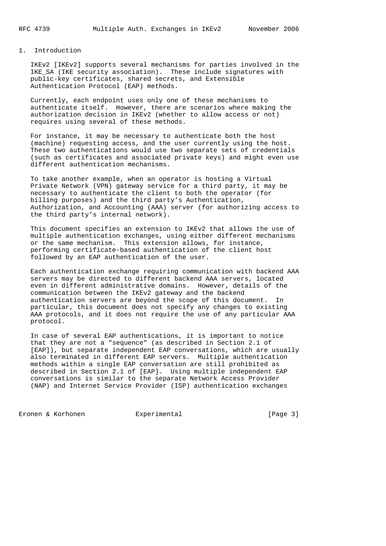#### 1. Introduction

 IKEv2 [IKEv2] supports several mechanisms for parties involved in the IKE\_SA (IKE security association). These include signatures with public-key certificates, shared secrets, and Extensible Authentication Protocol (EAP) methods.

 Currently, each endpoint uses only one of these mechanisms to authenticate itself. However, there are scenarios where making the authorization decision in IKEv2 (whether to allow access or not) requires using several of these methods.

 For instance, it may be necessary to authenticate both the host (machine) requesting access, and the user currently using the host. These two authentications would use two separate sets of credentials (such as certificates and associated private keys) and might even use different authentication mechanisms.

 To take another example, when an operator is hosting a Virtual Private Network (VPN) gateway service for a third party, it may be necessary to authenticate the client to both the operator (for billing purposes) and the third party's Authentication, Authorization, and Accounting (AAA) server (for authorizing access to the third party's internal network).

 This document specifies an extension to IKEv2 that allows the use of multiple authentication exchanges, using either different mechanisms or the same mechanism. This extension allows, for instance, performing certificate-based authentication of the client host followed by an EAP authentication of the user.

 Each authentication exchange requiring communication with backend AAA servers may be directed to different backend AAA servers, located even in different administrative domains. However, details of the communication between the IKEv2 gateway and the backend authentication servers are beyond the scope of this document. In particular, this document does not specify any changes to existing AAA protocols, and it does not require the use of any particular AAA protocol.

 In case of several EAP authentications, it is important to notice that they are not a "sequence" (as described in Section 2.1 of [EAP]), but separate independent EAP conversations, which are usually also terminated in different EAP servers. Multiple authentication methods within a single EAP conversation are still prohibited as described in Section 2.1 of [EAP]. Using multiple independent EAP conversations is similar to the separate Network Access Provider (NAP) and Internet Service Provider (ISP) authentication exchanges

Eronen & Korhonen Experimental [Page 3]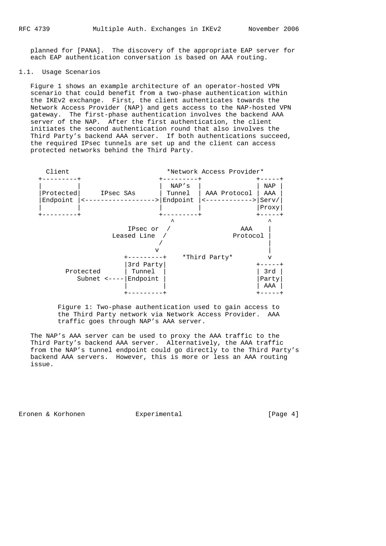planned for [PANA]. The discovery of the appropriate EAP server for each EAP authentication conversation is based on AAA routing.

#### 1.1. Usage Scenarios

 Figure 1 shows an example architecture of an operator-hosted VPN scenario that could benefit from a two-phase authentication within the IKEv2 exchange. First, the client authenticates towards the Network Access Provider (NAP) and gets access to the NAP-hosted VPN gateway. The first-phase authentication involves the backend AAA server of the NAP. After the first authentication, the client initiates the second authentication round that also involves the Third Party's backend AAA server. If both authentications succeed, the required IPsec tunnels are set up and the client can access protected networks behind the Third Party.



 Figure 1: Two-phase authentication used to gain access to the Third Party network via Network Access Provider. AAA traffic goes through NAP's AAA server.

 The NAP's AAA server can be used to proxy the AAA traffic to the Third Party's backend AAA server. Alternatively, the AAA traffic from the NAP's tunnel endpoint could go directly to the Third Party's backend AAA servers. However, this is more or less an AAA routing issue.

Eronen & Korhonen  $\qquad \qquad$  Experimental  $\qquad \qquad$  [Page 4]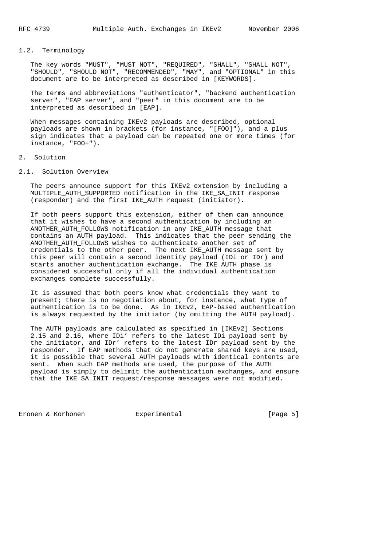## 1.2. Terminology

 The key words "MUST", "MUST NOT", "REQUIRED", "SHALL", "SHALL NOT", "SHOULD", "SHOULD NOT", "RECOMMENDED", "MAY", and "OPTIONAL" in this document are to be interpreted as described in [KEYWORDS].

 The terms and abbreviations "authenticator", "backend authentication server", "EAP server", and "peer" in this document are to be interpreted as described in [EAP].

 When messages containing IKEv2 payloads are described, optional payloads are shown in brackets (for instance, "[FOO]"), and a plus sign indicates that a payload can be repeated one or more times (for instance, "FOO+").

#### 2. Solution

2.1. Solution Overview

 The peers announce support for this IKEv2 extension by including a MULTIPLE\_AUTH\_SUPPORTED notification in the IKE\_SA\_INIT response (responder) and the first IKE\_AUTH request (initiator).

 If both peers support this extension, either of them can announce that it wishes to have a second authentication by including an ANOTHER\_AUTH\_FOLLOWS notification in any IKE\_AUTH message that contains an AUTH payload. This indicates that the peer sending the ANOTHER\_AUTH\_FOLLOWS wishes to authenticate another set of credentials to the other peer. The next IKE\_AUTH message sent by this peer will contain a second identity payload (IDi or IDr) and starts another authentication exchange. The IKE\_AUTH phase is considered successful only if all the individual authentication exchanges complete successfully.

 It is assumed that both peers know what credentials they want to present; there is no negotiation about, for instance, what type of authentication is to be done. As in IKEv2, EAP-based authentication is always requested by the initiator (by omitting the AUTH payload).

 The AUTH payloads are calculated as specified in [IKEv2] Sections 2.15 and 2.16, where IDi' refers to the latest IDi payload sent by the initiator, and IDr' refers to the latest IDr payload sent by the responder. If EAP methods that do not generate shared keys are used, it is possible that several AUTH payloads with identical contents are sent. When such EAP methods are used, the purpose of the AUTH payload is simply to delimit the authentication exchanges, and ensure that the IKE\_SA\_INIT request/response messages were not modified.

Eronen & Korhonen Experimental (Page 5)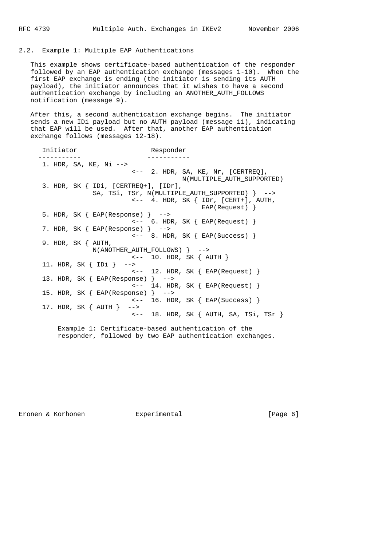### 2.2. Example 1: Multiple EAP Authentications

 This example shows certificate-based authentication of the responder followed by an EAP authentication exchange (messages 1-10). When the first EAP exchange is ending (the initiator is sending its AUTH payload), the initiator announces that it wishes to have a second authentication exchange by including an ANOTHER\_AUTH\_FOLLOWS notification (message 9).

 After this, a second authentication exchange begins. The initiator sends a new IDi payload but no AUTH payload (message 11), indicating that EAP will be used. After that, another EAP authentication exchange follows (messages 12-18).

 Initiator Responder ----------- ----------- 1. HDR, SA, KE, Ni --> <-- 2. HDR, SA, KE, Nr, [CERTREQ], N(MULTIPLE\_AUTH\_SUPPORTED) 3. HDR, SK { IDi, [CERTREQ+], [IDr], SA, TSi, TSr, N(MULTIPLE\_AUTH\_SUPPORTED) } --> <-- 4. HDR, SK { IDr, [CERT+], AUTH, EAP(Request) } 5. HDR, SK  $\{ EAP(Response) \}$  --> <-- 6. HDR, SK { EAP(Request) } 7. HDR, SK { EAP(Response) } -->  $\left\{ \left( \begin{array}{ccc} 2 & 0 \\ - & 0 \end{array} \right) \right\}$  (  $\left\{ \begin{array}{ccc} 2 & 0 \\ 0 & 0 \end{array} \right\}$  9. HDR, SK { AUTH, N(ANOTHER\_AUTH\_FOLLOWS) } --> <-- 10. HDR, SK { AUTH } 11. HDR, SK { IDi } --> <-- 12. HDR, SK { EAP(Request) } 13. HDR, SK { EAP(Response) } --> <-- 14. HDR, SK { EAP(Request) } 15. HDR, SK { EAP(Response) } --> <-- 16. HDR, SK { EAP(Success) } 17. HDR, SK { AUTH } --> <-- 18. HDR, SK { AUTH, SA, TSi, TSr } Example 1: Certificate-based authentication of the

responder, followed by two EAP authentication exchanges.

Eronen & Korhonen Experimental (Page 6)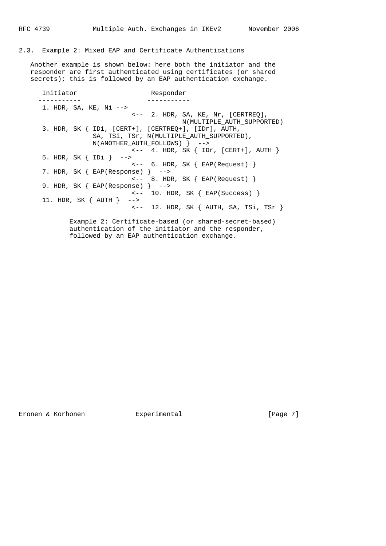#### 2.3. Example 2: Mixed EAP and Certificate Authentications

 Another example is shown below: here both the initiator and the responder are first authenticated using certificates (or shared secrets); this is followed by an EAP authentication exchange.

Initiator Responder ----------- ----------- 1. HDR, SA, KE, Ni --> <-- 2. HDR, SA, KE, Nr, [CERTREQ], N(MULTIPLE\_AUTH\_SUPPORTED) 3. HDR, SK { IDi, [CERT+], [CERTREQ+], [IDr], AUTH, SA, TSi, TSr, N(MULTIPLE\_AUTH\_SUPPORTED), N(ANOTHER\_AUTH\_FOLLOWS) } -->  $\leftarrow$  -- 4. HDR, SK  $\{$  IDr, [CERT+], AUTH  $\}$  5. HDR, SK { IDi } --> <-- 6. HDR, SK { EAP(Request) } 7. HDR, SK { EAP(Response) } --> <-- 8. HDR, SK { EAP(Request) } 9. HDR, SK { EAP(Response) } --> <-- 10. HDR, SK { EAP(Success) } 11. HDR, SK { AUTH } --> <-- 12. HDR, SK { AUTH, SA, TSi, TSr }

> Example 2: Certificate-based (or shared-secret-based) authentication of the initiator and the responder, followed by an EAP authentication exchange.

Eronen & Korhonen  $\qquad \qquad$  Experimental  $\qquad \qquad$  [Page 7]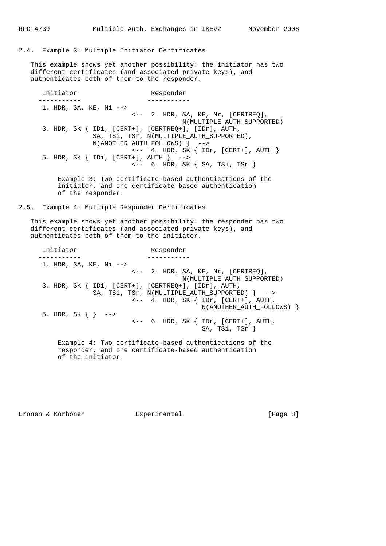2.4. Example 3: Multiple Initiator Certificates

 This example shows yet another possibility: the initiator has two different certificates (and associated private keys), and authenticates both of them to the responder.

Initiator Responder ----------- ----------- 1. HDR, SA, KE, Ni --> <-- 2. HDR, SA, KE, Nr, [CERTREQ], N(MULTIPLE\_AUTH\_SUPPORTED) 3. HDR, SK { IDi, [CERT+], [CERTREQ+], [IDr], AUTH, SA, TSi, TSr, N(MULTIPLE\_AUTH\_SUPPORTED), N(ANOTHER\_AUTH\_FOLLOWS) } --> <-- 4. HDR, SK { IDr, [CERT+], AUTH } 5. HDR, SK { IDi, [CERT+], AUTH } --> <-- 6. HDR, SK { SA, TSi, TSr }

 Example 3: Two certificate-based authentications of the initiator, and one certificate-based authentication of the responder.

2.5. Example 4: Multiple Responder Certificates

 This example shows yet another possibility: the responder has two different certificates (and associated private keys), and authenticates both of them to the initiator.

Initiator Responder ----------- ----------- 1. HDR, SA, KE, Ni --> <-- 2. HDR, SA, KE, Nr, [CERTREQ], N(MULTIPLE\_AUTH\_SUPPORTED) 3. HDR, SK { IDi, [CERT+], [CERTREQ+], [IDr], AUTH, SA, TSi, TSr, N(MULTIPLE\_AUTH\_SUPPORTED) } --> <-- 4. HDR, SK { IDr, [CERT+], AUTH, N(ANOTHER\_AUTH\_FOLLOWS) } 5. HDR, SK  $\{\}$  --> <-- 6. HDR, SK { IDr, [CERT+], AUTH, SA, TSi, TSr } Example 4: Two certificate-based authentications of the responder, and one certificate-based authentication

Eronen & Korhonen Experimental (Page 8)

of the initiator.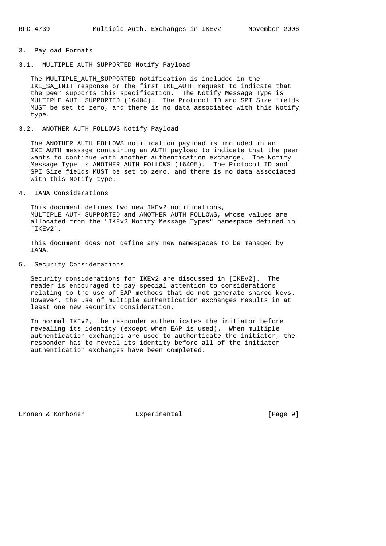### 3. Payload Formats

#### 3.1. MULTIPLE AUTH SUPPORTED Notify Payload

 The MULTIPLE\_AUTH\_SUPPORTED notification is included in the IKE SA INIT response or the first IKE AUTH request to indicate that the peer supports this specification. The Notify Message Type is MULTIPLE\_AUTH\_SUPPORTED (16404). The Protocol ID and SPI Size fields MUST be set to zero, and there is no data associated with this Notify type.

#### 3.2. ANOTHER\_AUTH\_FOLLOWS Notify Payload

 The ANOTHER\_AUTH\_FOLLOWS notification payload is included in an IKE\_AUTH message containing an AUTH payload to indicate that the peer wants to continue with another authentication exchange. The Notify Message Type is ANOTHER\_AUTH\_FOLLOWS (16405). The Protocol ID and SPI Size fields MUST be set to zero, and there is no data associated with this Notify type.

#### 4. IANA Considerations

 This document defines two new IKEv2 notifications, MULTIPLE AUTH SUPPORTED and ANOTHER AUTH FOLLOWS, whose values are allocated from the "IKEv2 Notify Message Types" namespace defined in [IKEv2].

 This document does not define any new namespaces to be managed by TANA.

#### 5. Security Considerations

 Security considerations for IKEv2 are discussed in [IKEv2]. The reader is encouraged to pay special attention to considerations relating to the use of EAP methods that do not generate shared keys. However, the use of multiple authentication exchanges results in at least one new security consideration.

 In normal IKEv2, the responder authenticates the initiator before revealing its identity (except when EAP is used). When multiple authentication exchanges are used to authenticate the initiator, the responder has to reveal its identity before all of the initiator authentication exchanges have been completed.

Eronen & Korhonen Experimental [Page 9]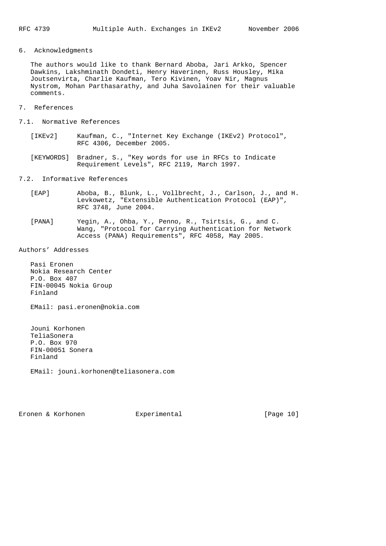6. Acknowledgments

 The authors would like to thank Bernard Aboba, Jari Arkko, Spencer Dawkins, Lakshminath Dondeti, Henry Haverinen, Russ Housley, Mika Joutsenvirta, Charlie Kaufman, Tero Kivinen, Yoav Nir, Magnus Nystrom, Mohan Parthasarathy, and Juha Savolainen for their valuable comments.

- 7. References
- 7.1. Normative References
	- [IKEv2] Kaufman, C., "Internet Key Exchange (IKEv2) Protocol", RFC 4306, December 2005.
	- [KEYWORDS] Bradner, S., "Key words for use in RFCs to Indicate Requirement Levels", RFC 2119, March 1997.

#### 7.2. Informative References

- [EAP] Aboba, B., Blunk, L., Vollbrecht, J., Carlson, J., and H. Levkowetz, "Extensible Authentication Protocol (EAP)", RFC 3748, June 2004.
- [PANA] Yegin, A., Ohba, Y., Penno, R., Tsirtsis, G., and C. Wang, "Protocol for Carrying Authentication for Network Access (PANA) Requirements", RFC 4058, May 2005.

Authors' Addresses

 Pasi Eronen Nokia Research Center P.O. Box 407 FIN-00045 Nokia Group Finland

EMail: pasi.eronen@nokia.com

 Jouni Korhonen TeliaSonera P.O. Box 970 FIN-00051 Sonera Finland

EMail: jouni.korhonen@teliasonera.com

Eronen & Korhonen Experimental [Page 10]